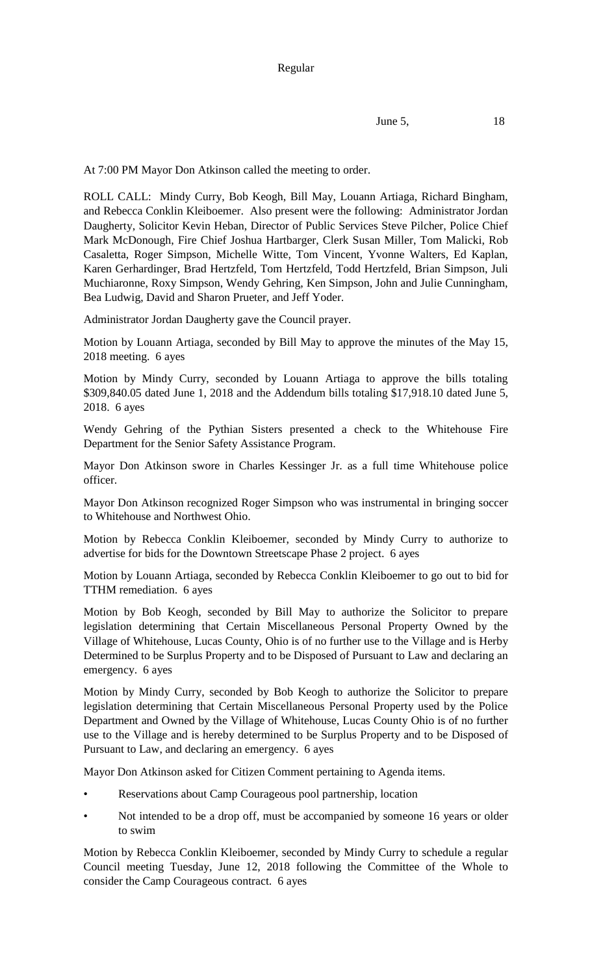At 7:00 PM Mayor Don Atkinson called the meeting to order.

ROLL CALL: Mindy Curry, Bob Keogh, Bill May, Louann Artiaga, Richard Bingham, and Rebecca Conklin Kleiboemer. Also present were the following: Administrator Jordan Daugherty, Solicitor Kevin Heban, Director of Public Services Steve Pilcher, Police Chief Mark McDonough, Fire Chief Joshua Hartbarger, Clerk Susan Miller, Tom Malicki, Rob Casaletta, Roger Simpson, Michelle Witte, Tom Vincent, Yvonne Walters, Ed Kaplan, Karen Gerhardinger, Brad Hertzfeld, Tom Hertzfeld, Todd Hertzfeld, Brian Simpson, Juli Muchiaronne, Roxy Simpson, Wendy Gehring, Ken Simpson, John and Julie Cunningham, Bea Ludwig, David and Sharon Prueter, and Jeff Yoder.

Administrator Jordan Daugherty gave the Council prayer.

Motion by Louann Artiaga, seconded by Bill May to approve the minutes of the May 15, 2018 meeting. 6 ayes

Motion by Mindy Curry, seconded by Louann Artiaga to approve the bills totaling \$309,840.05 dated June 1, 2018 and the Addendum bills totaling \$17,918.10 dated June 5, 2018. 6 ayes

Wendy Gehring of the Pythian Sisters presented a check to the Whitehouse Fire Department for the Senior Safety Assistance Program.

Mayor Don Atkinson swore in Charles Kessinger Jr. as a full time Whitehouse police officer.

Mayor Don Atkinson recognized Roger Simpson who was instrumental in bringing soccer to Whitehouse and Northwest Ohio.

Motion by Rebecca Conklin Kleiboemer, seconded by Mindy Curry to authorize to advertise for bids for the Downtown Streetscape Phase 2 project. 6 ayes

Motion by Louann Artiaga, seconded by Rebecca Conklin Kleiboemer to go out to bid for TTHM remediation. 6 ayes

Motion by Bob Keogh, seconded by Bill May to authorize the Solicitor to prepare legislation determining that Certain Miscellaneous Personal Property Owned by the Village of Whitehouse, Lucas County, Ohio is of no further use to the Village and is Herby Determined to be Surplus Property and to be Disposed of Pursuant to Law and declaring an emergency. 6 ayes

Motion by Mindy Curry, seconded by Bob Keogh to authorize the Solicitor to prepare legislation determining that Certain Miscellaneous Personal Property used by the Police Department and Owned by the Village of Whitehouse, Lucas County Ohio is of no further use to the Village and is hereby determined to be Surplus Property and to be Disposed of Pursuant to Law, and declaring an emergency. 6 ayes

Mayor Don Atkinson asked for Citizen Comment pertaining to Agenda items.

- Reservations about Camp Courageous pool partnership, location
- Not intended to be a drop off, must be accompanied by someone 16 years or older to swim

Motion by Rebecca Conklin Kleiboemer, seconded by Mindy Curry to schedule a regular Council meeting Tuesday, June 12, 2018 following the Committee of the Whole to consider the Camp Courageous contract. 6 ayes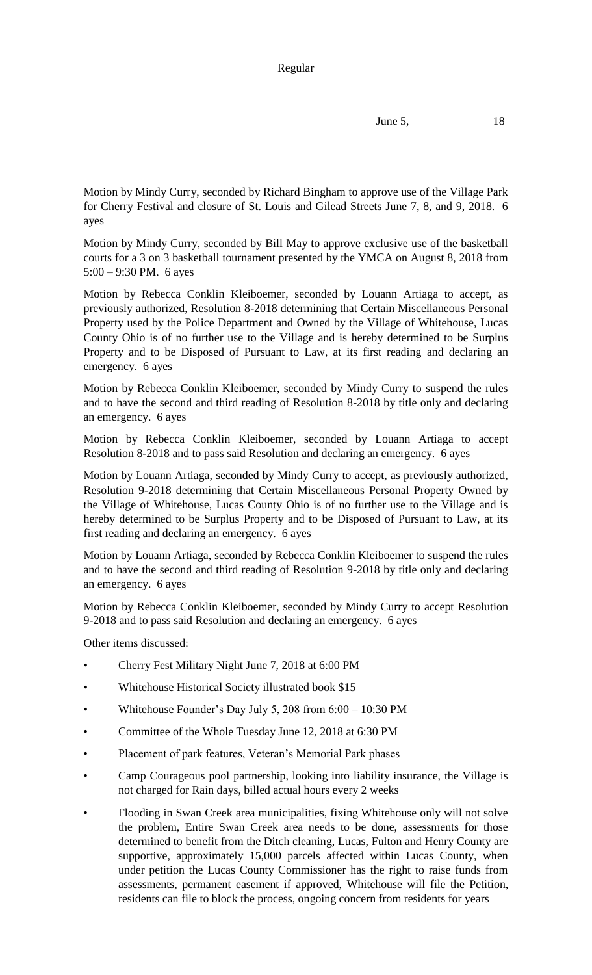**June 5,** 18

Motion by Mindy Curry, seconded by Richard Bingham to approve use of the Village Park for Cherry Festival and closure of St. Louis and Gilead Streets June 7, 8, and 9, 2018. 6 ayes

Motion by Mindy Curry, seconded by Bill May to approve exclusive use of the basketball courts for a 3 on 3 basketball tournament presented by the YMCA on August 8, 2018 from 5:00 – 9:30 PM. 6 ayes

Motion by Rebecca Conklin Kleiboemer, seconded by Louann Artiaga to accept, as previously authorized, Resolution 8-2018 determining that Certain Miscellaneous Personal Property used by the Police Department and Owned by the Village of Whitehouse, Lucas County Ohio is of no further use to the Village and is hereby determined to be Surplus Property and to be Disposed of Pursuant to Law, at its first reading and declaring an emergency. 6 ayes

Motion by Rebecca Conklin Kleiboemer, seconded by Mindy Curry to suspend the rules and to have the second and third reading of Resolution 8-2018 by title only and declaring an emergency. 6 ayes

Motion by Rebecca Conklin Kleiboemer, seconded by Louann Artiaga to accept Resolution 8-2018 and to pass said Resolution and declaring an emergency. 6 ayes

Motion by Louann Artiaga, seconded by Mindy Curry to accept, as previously authorized, Resolution 9-2018 determining that Certain Miscellaneous Personal Property Owned by the Village of Whitehouse, Lucas County Ohio is of no further use to the Village and is hereby determined to be Surplus Property and to be Disposed of Pursuant to Law, at its first reading and declaring an emergency. 6 ayes

Motion by Louann Artiaga, seconded by Rebecca Conklin Kleiboemer to suspend the rules and to have the second and third reading of Resolution 9-2018 by title only and declaring an emergency. 6 ayes

Motion by Rebecca Conklin Kleiboemer, seconded by Mindy Curry to accept Resolution 9-2018 and to pass said Resolution and declaring an emergency. 6 ayes

Other items discussed:

- Cherry Fest Military Night June 7, 2018 at 6:00 PM
- Whitehouse Historical Society illustrated book \$15
- Whitehouse Founder's Day July 5, 208 from 6:00 10:30 PM
- Committee of the Whole Tuesday June 12, 2018 at 6:30 PM
- Placement of park features, Veteran's Memorial Park phases
- Camp Courageous pool partnership, looking into liability insurance, the Village is not charged for Rain days, billed actual hours every 2 weeks
- Flooding in Swan Creek area municipalities, fixing Whitehouse only will not solve the problem, Entire Swan Creek area needs to be done, assessments for those determined to benefit from the Ditch cleaning, Lucas, Fulton and Henry County are supportive, approximately 15,000 parcels affected within Lucas County, when under petition the Lucas County Commissioner has the right to raise funds from assessments, permanent easement if approved, Whitehouse will file the Petition, residents can file to block the process, ongoing concern from residents for years